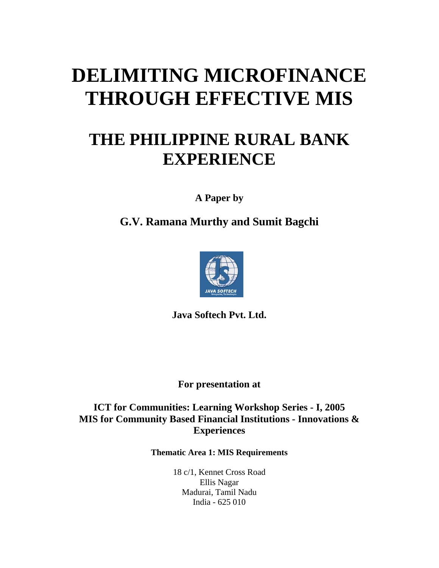# **DELIMITING MICROFINANCE THROUGH EFFECTIVE MIS**

## **THE PHILIPPINE RURAL BANK EXPERIENCE**

**A Paper by** 

**G.V. Ramana Murthy and Sumit Bagchi** 



**Java Softech Pvt. Ltd.** 

**For presentation at** 

**ICT for Communities: Learning Workshop Series - I, 2005 MIS for Community Based Financial Institutions - Innovations & Experiences** 

**Thematic Area 1: MIS Requirements**

18 c/1, Kennet Cross Road Ellis Nagar Madurai, Tamil Nadu India - 625 010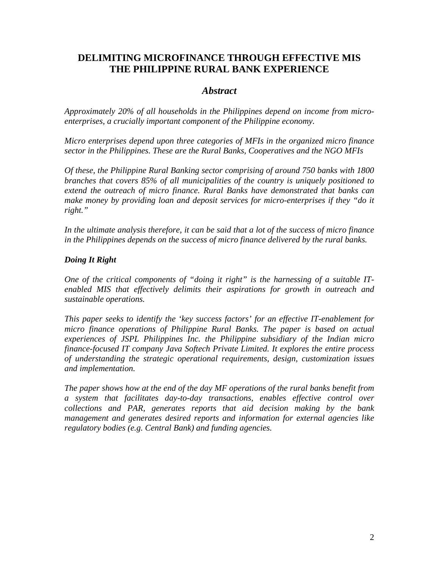## **DELIMITING MICROFINANCE THROUGH EFFECTIVE MIS THE PHILIPPINE RURAL BANK EXPERIENCE**

## *Abstract*

*Approximately 20% of all households in the Philippines depend on income from microenterprises, a crucially important component of the Philippine economy.* 

*Micro enterprises depend upon three categories of MFIs in the organized micro finance sector in the Philippines. These are the Rural Banks, Cooperatives and the NGO MFIs* 

*Of these, the Philippine Rural Banking sector comprising of around 750 banks with 1800 branches that covers 85% of all municipalities of the country is uniquely positioned to extend the outreach of micro finance. Rural Banks have demonstrated that banks can make money by providing loan and deposit services for micro-enterprises if they "do it right."* 

*In the ultimate analysis therefore, it can be said that a lot of the success of micro finance in the Philippines depends on the success of micro finance delivered by the rural banks.* 

## *Doing It Right*

*One of the critical components of "doing it right" is the harnessing of a suitable ITenabled MIS that effectively delimits their aspirations for growth in outreach and sustainable operations.* 

*This paper seeks to identify the 'key success factors' for an effective IT-enablement for micro finance operations of Philippine Rural Banks. The paper is based on actual experiences of JSPL Philippines Inc. the Philippine subsidiary of the Indian micro finance-focused IT company Java Softech Private Limited. It explores the entire process of understanding the strategic operational requirements, design, customization issues and implementation.* 

*The paper shows how at the end of the day MF operations of the rural banks benefit from a system that facilitates day-to-day transactions, enables effective control over collections and PAR, generates reports that aid decision making by the bank management and generates desired reports and information for external agencies like regulatory bodies (e.g. Central Bank) and funding agencies.*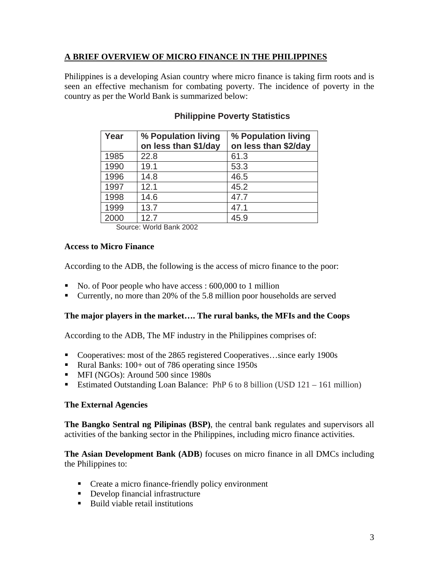## **A BRIEF OVERVIEW OF MICRO FINANCE IN THE PHILIPPINES**

Philippines is a developing Asian country where micro finance is taking firm roots and is seen an effective mechanism for combating poverty. The incidence of poverty in the country as per the World Bank is summarized below:

| Year | % Population living<br>on less than \$1/day | % Population living<br>on less than \$2/day |
|------|---------------------------------------------|---------------------------------------------|
| 1985 | 22.8                                        | 61.3                                        |
| 1990 | 19.1                                        | 53.3                                        |
| 1996 | 14.8                                        | 46.5                                        |
| 1997 | 12.1                                        | 45.2                                        |
| 1998 | 14.6                                        | 47.7                                        |
| 1999 | 13.7                                        | 47.1                                        |
| 2000 | 12.7                                        | 45.9                                        |

## **Philippine Poverty Statistics**

Source: World Bank 2002

## **Access to Micro Finance**

According to the ADB, the following is the access of micro finance to the poor:

- No. of Poor people who have access : 600,000 to 1 million
- Currently, no more than 20% of the 5.8 million poor households are served

## **The major players in the market…. The rural banks, the MFIs and the Coops**

According to the ADB, The MF industry in the Philippines comprises of:

- Cooperatives: most of the 2865 registered Cooperatives...since early 1900s
- Rural Banks: 100+ out of 786 operating since 1950s
- **MFI** (NGOs): Around 500 since 1980s
- Estimated Outstanding Loan Balance: PhP 6 to 8 billion (USD 121 161 million)

## **The External Agencies**

**The Bangko Sentral ng Pilipinas (BSP)**, the central bank regulates and supervisors all activities of the banking sector in the Philippines, including micro finance activities.

**The Asian Development Bank (ADB**) focuses on micro finance in all DMCs including the Philippines to:

- **Create a micro finance-friendly policy environment**
- Develop financial infrastructure
- Build viable retail institutions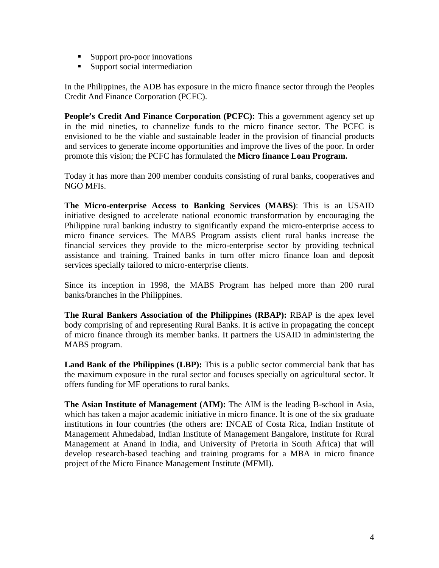- **Support pro-poor innovations**
- **Support social intermediation**

In the Philippines, the ADB has exposure in the micro finance sector through the Peoples Credit And Finance Corporation (PCFC).

**People's Credit And Finance Corporation (PCFC):** This a government agency set up in the mid nineties, to channelize funds to the micro finance sector. The PCFC is envisioned to be the viable and sustainable leader in the provision of financial products and services to generate income opportunities and improve the lives of the poor. In order promote this vision; the PCFC has formulated the **Micro finance Loan Program.** 

Today it has more than 200 member conduits consisting of rural banks, cooperatives and NGO MFIs.

**The Micro-enterprise Access to Banking Services (MABS)**: This is an USAID initiative designed to accelerate national economic transformation by encouraging the Philippine rural banking industry to significantly expand the micro-enterprise access to micro finance services. The MABS Program assists client rural banks increase the financial services they provide to the micro-enterprise sector by providing technical assistance and training. Trained banks in turn offer micro finance loan and deposit services specially tailored to micro-enterprise clients.

Since its inception in 1998, the MABS Program has helped more than 200 rural banks/branches in the Philippines.

**The Rural Bankers Association of the Philippines (RBAP):** RBAP is the apex level body comprising of and representing Rural Banks. It is active in propagating the concept of micro finance through its member banks. It partners the USAID in administering the MABS program.

**Land Bank of the Philippines (LBP):** This is a public sector commercial bank that has the maximum exposure in the rural sector and focuses specially on agricultural sector. It offers funding for MF operations to rural banks.

**The Asian Institute of Management (AIM):** The AIM is the leading B-school in Asia, which has taken a major academic initiative in micro finance. It is one of the six graduate institutions in four countries (the others are: INCAE of Costa Rica, Indian Institute of Management Ahmedabad, Indian Institute of Management Bangalore, Institute for Rural Management at Anand in India, and University of Pretoria in South Africa) that will develop research-based teaching and training programs for a MBA in micro finance project of the Micro Finance Management Institute (MFMI).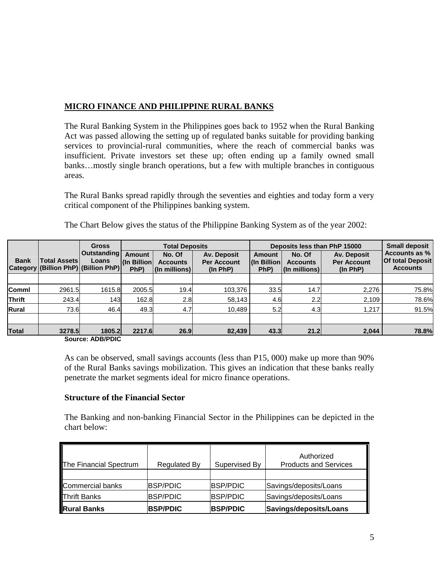## **MICRO FINANCE AND PHILIPPINE RURAL BANKS**

The Rural Banking System in the Philippines goes back to 1952 when the Rural Banking Act was passed allowing the setting up of regulated banks suitable for providing banking services to provincial-rural communities, where the reach of commercial banks was insufficient. Private investors set these up; often ending up a family owned small banks…mostly single branch operations, but a few with multiple branches in contiguous areas.

The Rural Banks spread rapidly through the seventies and eighties and today form a very critical component of the Philippines banking system.

|               |                                                             | <b>Gross</b>                | <b>Total Deposits</b>                |                                            | Deposits less than PhP 15000                  |                                        |                                                            | <b>Small deposit</b>                          |                                                             |
|---------------|-------------------------------------------------------------|-----------------------------|--------------------------------------|--------------------------------------------|-----------------------------------------------|----------------------------------------|------------------------------------------------------------|-----------------------------------------------|-------------------------------------------------------------|
| <b>Bank</b>   | <b>Total Assets</b><br>Category (Billion PhP) (Billion PhP) | <b>Outstanding</b><br>Loans | <b>Amount</b><br>(In Billion<br>PhP) | No. Of<br><b>Accounts</b><br>(In millions) | Av. Deposit<br><b>Per Account</b><br>(ln PhP) | Amount<br><b>I</b> (In Billion<br>PhP) | No. Of<br><b>Accounts</b><br>$\vert$ (In millions) $\vert$ | Av. Deposit<br><b>Per Account</b><br>(ln PhP) | Accounts as %<br><b>Of total Deposit</b><br><b>Accounts</b> |
|               |                                                             |                             |                                      |                                            |                                               |                                        |                                                            |                                               |                                                             |
| Comml         | 2961.5                                                      | 1615.8                      | 2005.5                               | 19.4                                       | 103,376                                       | 33.5                                   | 14.7                                                       | 2.276                                         | 75.8%                                                       |
| <b>Thrift</b> | 243.4                                                       | 143                         | 162.8                                | 2.8                                        | 58,143                                        | 4.6                                    | 2.2                                                        | 2.109                                         | 78.6%                                                       |
| Rural         | 73.6                                                        | 46.4                        | 49.3                                 | 4.7                                        | 10.489                                        | 5.2                                    | 4.3                                                        | 1,217                                         | 91.5%                                                       |
|               |                                                             |                             |                                      |                                            |                                               |                                        |                                                            |                                               |                                                             |
| <b>Total</b>  | 3278.5                                                      | 1805.2                      | 2217.6                               | 26.9                                       | 82,439                                        | 43.3                                   | 21.2                                                       | 2,044                                         | 78.8%                                                       |
|               |                                                             | Course: ADR/DDIC            |                                      |                                            |                                               |                                        |                                                            |                                               |                                                             |

The Chart Below gives the status of the Philippine Banking System as of the year 2002:

**Source: ADB/PDIC**

As can be observed, small savings accounts (less than P15, 000) make up more than 90% of the Rural Banks savings mobilization. This gives an indication that these banks really penetrate the market segments ideal for micro finance operations.

#### **Structure of the Financial Sector**

The Banking and non-banking Financial Sector in the Philippines can be depicted in the chart below:

| The Financial Spectrum | <b>Regulated By</b> | Supervised By   | Authorized<br><b>Products and Services</b> |
|------------------------|---------------------|-----------------|--------------------------------------------|
|                        |                     |                 |                                            |
| Commercial banks       | <b>BSP/PDIC</b>     | <b>BSP/PDIC</b> | Savings/deposits/Loans                     |
| <b>Thrift Banks</b>    | <b>BSP/PDIC</b>     | <b>BSP/PDIC</b> | Savings/deposits/Loans                     |
| <b>Rural Banks</b>     | <b>BSP/PDIC</b>     | BSP/PDIC        | Savings/deposits/Loans                     |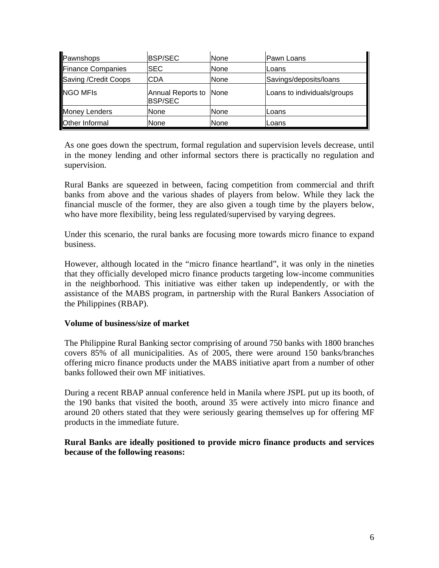| Pawnshops             | <b>BSP/SEC</b>                           | None | Pawn Loans                  |
|-----------------------|------------------------------------------|------|-----------------------------|
| Finance Companies     | <b>ISEC</b>                              | None | Loans                       |
| Saving / Credit Coops | <b>CDA</b>                               | None | Savings/deposits/loans      |
| NGO MFIS              | Annual Reports to None<br><b>BSP/SEC</b> |      | Loans to individuals/groups |
| <b>Money Lenders</b>  | <b>None</b>                              | None | Loans                       |
| <b>Other Informal</b> | None                                     | None | Loans                       |

As one goes down the spectrum, formal regulation and supervision levels decrease, until in the money lending and other informal sectors there is practically no regulation and supervision.

Rural Banks are squeezed in between, facing competition from commercial and thrift banks from above and the various shades of players from below. While they lack the financial muscle of the former, they are also given a tough time by the players below, who have more flexibility, being less regulated/supervised by varying degrees.

Under this scenario, the rural banks are focusing more towards micro finance to expand business.

However, although located in the "micro finance heartland", it was only in the nineties that they officially developed micro finance products targeting low-income communities in the neighborhood. This initiative was either taken up independently, or with the assistance of the MABS program, in partnership with the Rural Bankers Association of the Philippines (RBAP).

#### **Volume of business/size of market**

The Philippine Rural Banking sector comprising of around 750 banks with 1800 branches covers 85% of all municipalities. As of 2005, there were around 150 banks/branches offering micro finance products under the MABS initiative apart from a number of other banks followed their own MF initiatives.

During a recent RBAP annual conference held in Manila where JSPL put up its booth, of the 190 banks that visited the booth, around 35 were actively into micro finance and around 20 others stated that they were seriously gearing themselves up for offering MF products in the immediate future.

## **Rural Banks are ideally positioned to provide micro finance products and services because of the following reasons:**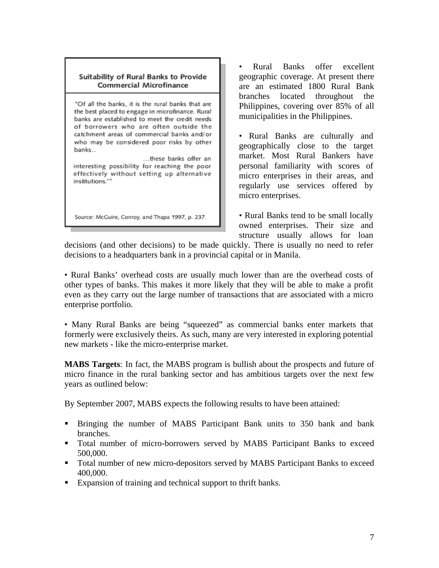#### Suitability of Rural Banks to Provide **Commercial Microfinance**

"Of all the banks, it is the rural banks that are the best placed to engage in microfinance. Rural banks are established to meet the credit needs of borrowers who are often outside the catchment areas of commercial banks and/or who may be considered poor risks by other banks..

...these banks offer an interesting possibility for reaching the poor effectively without setting up alternative institutions.""

Source: McGuire, Conroy, and Thapa 1997, p. 237.

• Rural Banks offer excellent geographic coverage. At present there are an estimated 1800 Rural Bank branches located throughout the Philippines, covering over 85% of all municipalities in the Philippines.

• Rural Banks are culturally and geographically close to the target market. Most Rural Bankers have personal familiarity with scores of micro enterprises in their areas, and regularly use services offered by micro enterprises.

• Rural Banks tend to be small locally owned enterprises. Their size and structure usually allows for loan

decisions (and other decisions) to be made quickly. There is usually no need to refer decisions to a headquarters bank in a provincial capital or in Manila.

• Rural Banks' overhead costs are usually much lower than are the overhead costs of other types of banks. This makes it more likely that they will be able to make a profit even as they carry out the large number of transactions that are associated with a micro enterprise portfolio.

• Many Rural Banks are being "squeezed" as commercial banks enter markets that formerly were exclusively theirs. As such, many are very interested in exploring potential new markets - like the micro-enterprise market.

**MABS Targets**: In fact, the MABS program is bullish about the prospects and future of micro finance in the rural banking sector and has ambitious targets over the next few years as outlined below:

By September 2007, MABS expects the following results to have been attained:

- Bringing the number of MABS Participant Bank units to 350 bank and bank branches.
- Total number of micro-borrowers served by MABS Participant Banks to exceed 500,000.
- Total number of new micro-depositors served by MABS Participant Banks to exceed 400,000.
- Expansion of training and technical support to thrift banks.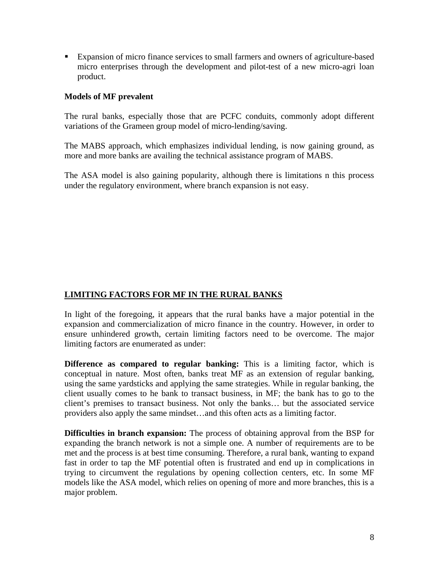Expansion of micro finance services to small farmers and owners of agriculture-based micro enterprises through the development and pilot-test of a new micro-agri loan product.

## **Models of MF prevalent**

The rural banks, especially those that are PCFC conduits, commonly adopt different variations of the Grameen group model of micro-lending/saving.

The MABS approach, which emphasizes individual lending, is now gaining ground, as more and more banks are availing the technical assistance program of MABS.

The ASA model is also gaining popularity, although there is limitations n this process under the regulatory environment, where branch expansion is not easy.

## **LIMITING FACTORS FOR MF IN THE RURAL BANKS**

In light of the foregoing, it appears that the rural banks have a major potential in the expansion and commercialization of micro finance in the country. However, in order to ensure unhindered growth, certain limiting factors need to be overcome. The major limiting factors are enumerated as under:

**Difference as compared to regular banking:** This is a limiting factor, which is conceptual in nature. Most often, banks treat MF as an extension of regular banking, using the same yardsticks and applying the same strategies. While in regular banking, the client usually comes to he bank to transact business, in MF; the bank has to go to the client's premises to transact business. Not only the banks… but the associated service providers also apply the same mindset…and this often acts as a limiting factor.

**Difficulties in branch expansion:** The process of obtaining approval from the BSP for expanding the branch network is not a simple one. A number of requirements are to be met and the process is at best time consuming. Therefore, a rural bank, wanting to expand fast in order to tap the MF potential often is frustrated and end up in complications in trying to circumvent the regulations by opening collection centers, etc. In some MF models like the ASA model, which relies on opening of more and more branches, this is a major problem.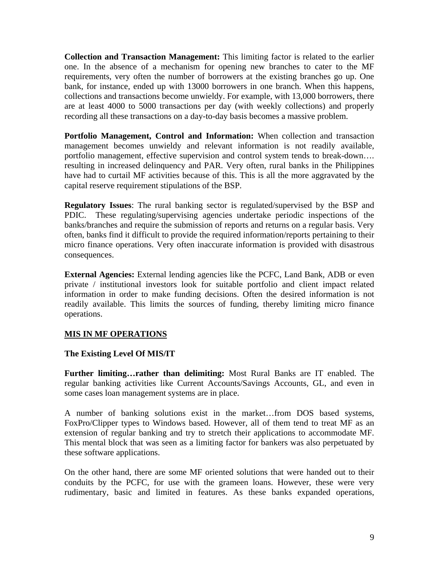**Collection and Transaction Management:** This limiting factor is related to the earlier one. In the absence of a mechanism for opening new branches to cater to the MF requirements, very often the number of borrowers at the existing branches go up. One bank, for instance, ended up with 13000 borrowers in one branch. When this happens, collections and transactions become unwieldy. For example, with 13,000 borrowers, there are at least 4000 to 5000 transactions per day (with weekly collections) and properly recording all these transactions on a day-to-day basis becomes a massive problem.

**Portfolio Management, Control and Information:** When collection and transaction management becomes unwieldy and relevant information is not readily available, portfolio management, effective supervision and control system tends to break-down…. resulting in increased delinquency and PAR. Very often, rural banks in the Philippines have had to curtail MF activities because of this. This is all the more aggravated by the capital reserve requirement stipulations of the BSP.

**Regulatory Issues**: The rural banking sector is regulated/supervised by the BSP and PDIC. These regulating/supervising agencies undertake periodic inspections of the banks/branches and require the submission of reports and returns on a regular basis. Very often, banks find it difficult to provide the required information/reports pertaining to their micro finance operations. Very often inaccurate information is provided with disastrous consequences.

**External Agencies:** External lending agencies like the PCFC, Land Bank, ADB or even private / institutional investors look for suitable portfolio and client impact related information in order to make funding decisions. Often the desired information is not readily available. This limits the sources of funding, thereby limiting micro finance operations.

## **MIS IN MF OPERATIONS**

#### **The Existing Level Of MIS/IT**

**Further limiting…rather than delimiting:** Most Rural Banks are IT enabled. The regular banking activities like Current Accounts/Savings Accounts, GL, and even in some cases loan management systems are in place.

A number of banking solutions exist in the market…from DOS based systems, FoxPro/Clipper types to Windows based. However, all of them tend to treat MF as an extension of regular banking and try to stretch their applications to accommodate MF. This mental block that was seen as a limiting factor for bankers was also perpetuated by these software applications.

On the other hand, there are some MF oriented solutions that were handed out to their conduits by the PCFC, for use with the grameen loans. However, these were very rudimentary, basic and limited in features. As these banks expanded operations,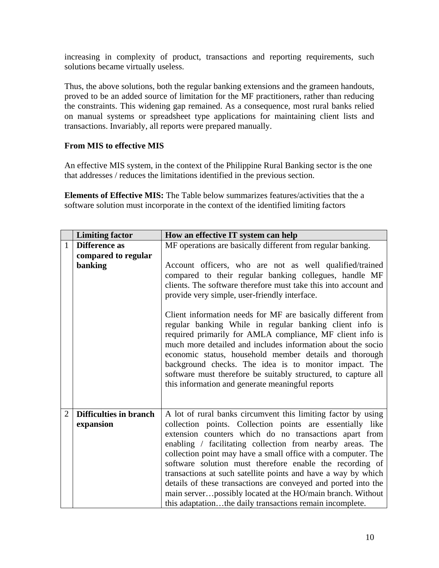increasing in complexity of product, transactions and reporting requirements, such solutions became virtually useless.

Thus, the above solutions, both the regular banking extensions and the grameen handouts, proved to be an added source of limitation for the MF practitioners, rather than reducing the constraints. This widening gap remained. As a consequence, most rural banks relied on manual systems or spreadsheet type applications for maintaining client lists and transactions. Invariably, all reports were prepared manually.

## **From MIS to effective MIS**

An effective MIS system, in the context of the Philippine Rural Banking sector is the one that addresses / reduces the limitations identified in the previous section.

**Elements of Effective MIS:** The Table below summarizes features/activities that the a software solution must incorporate in the context of the identified limiting factors

|                | <b>Limiting factor</b> | How an effective IT system can help                                                                                                                                                                                                                                                                                                                                                                                                                                                          |
|----------------|------------------------|----------------------------------------------------------------------------------------------------------------------------------------------------------------------------------------------------------------------------------------------------------------------------------------------------------------------------------------------------------------------------------------------------------------------------------------------------------------------------------------------|
| $\mathbf{1}$   | <b>Difference</b> as   | MF operations are basically different from regular banking.                                                                                                                                                                                                                                                                                                                                                                                                                                  |
|                | compared to regular    |                                                                                                                                                                                                                                                                                                                                                                                                                                                                                              |
|                | banking                | Account officers, who are not as well qualified/trained<br>compared to their regular banking collegues, handle MF<br>clients. The software therefore must take this into account and<br>provide very simple, user-friendly interface.                                                                                                                                                                                                                                                        |
|                |                        | Client information needs for MF are basically different from<br>regular banking While in regular banking client info is<br>required primarily for AMLA compliance, MF client info is<br>much more detailed and includes information about the socio<br>economic status, household member details and thorough<br>background checks. The idea is to monitor impact. The<br>software must therefore be suitably structured, to capture all<br>this information and generate meaningful reports |
| $\overline{2}$ | Difficulties in branch | A lot of rural banks circumvent this limiting factor by using                                                                                                                                                                                                                                                                                                                                                                                                                                |
|                | expansion              | collection points. Collection points are essentially like<br>extension counters which do no transactions apart from                                                                                                                                                                                                                                                                                                                                                                          |
|                |                        | enabling / facilitating collection from nearby areas. The                                                                                                                                                                                                                                                                                                                                                                                                                                    |
|                |                        | collection point may have a small office with a computer. The<br>software solution must therefore enable the recording of                                                                                                                                                                                                                                                                                                                                                                    |
|                |                        | transactions at such satellite points and have a way by which                                                                                                                                                                                                                                                                                                                                                                                                                                |
|                |                        | details of these transactions are conveyed and ported into the                                                                                                                                                                                                                                                                                                                                                                                                                               |
|                |                        | main serverpossibly located at the HO/main branch. Without                                                                                                                                                                                                                                                                                                                                                                                                                                   |
|                |                        | this adaptationthe daily transactions remain incomplete.                                                                                                                                                                                                                                                                                                                                                                                                                                     |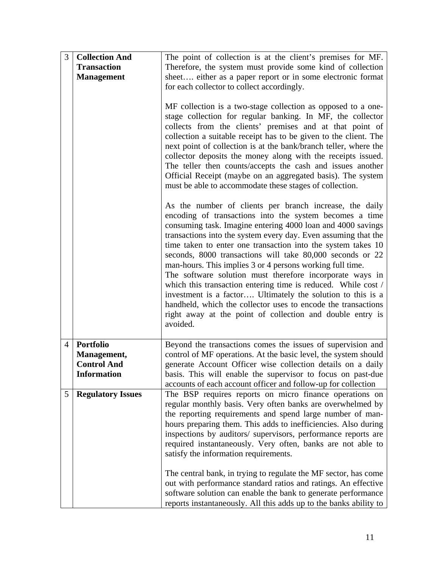| 3              | <b>Collection And</b>    | The point of collection is at the client's premises for MF.                                                                                                                                                                                                                                                                                                                                                                                                                                                                                                                                                                                                                                                                                                                         |
|----------------|--------------------------|-------------------------------------------------------------------------------------------------------------------------------------------------------------------------------------------------------------------------------------------------------------------------------------------------------------------------------------------------------------------------------------------------------------------------------------------------------------------------------------------------------------------------------------------------------------------------------------------------------------------------------------------------------------------------------------------------------------------------------------------------------------------------------------|
|                | <b>Transaction</b>       | Therefore, the system must provide some kind of collection                                                                                                                                                                                                                                                                                                                                                                                                                                                                                                                                                                                                                                                                                                                          |
|                | <b>Management</b>        | sheet either as a paper report or in some electronic format                                                                                                                                                                                                                                                                                                                                                                                                                                                                                                                                                                                                                                                                                                                         |
|                |                          | for each collector to collect accordingly.                                                                                                                                                                                                                                                                                                                                                                                                                                                                                                                                                                                                                                                                                                                                          |
|                |                          | MF collection is a two-stage collection as opposed to a one-<br>stage collection for regular banking. In MF, the collector<br>collects from the clients' premises and at that point of<br>collection a suitable receipt has to be given to the client. The<br>next point of collection is at the bank/branch teller, where the<br>collector deposits the money along with the receipts issued.<br>The teller then counts/accepts the cash and issues another<br>Official Receipt (maybe on an aggregated basis). The system<br>must be able to accommodate these stages of collection.                                                                                                                                                                                              |
|                |                          | As the number of clients per branch increase, the daily<br>encoding of transactions into the system becomes a time<br>consuming task. Imagine entering 4000 loan and 4000 savings<br>transactions into the system every day. Even assuming that the<br>time taken to enter one transaction into the system takes 10<br>seconds, 8000 transactions will take 80,000 seconds or 22<br>man-hours. This implies 3 or 4 persons working full time.<br>The software solution must therefore incorporate ways in<br>which this transaction entering time is reduced. While cost /<br>investment is a factor Ultimately the solution to this is a<br>handheld, which the collector uses to encode the transactions<br>right away at the point of collection and double entry is<br>avoided. |
| $\overline{4}$ | <b>Portfolio</b>         | Beyond the transactions comes the issues of supervision and                                                                                                                                                                                                                                                                                                                                                                                                                                                                                                                                                                                                                                                                                                                         |
|                | Management,              | control of MF operations. At the basic level, the system should                                                                                                                                                                                                                                                                                                                                                                                                                                                                                                                                                                                                                                                                                                                     |
|                | <b>Control And</b>       | generate Account Officer wise collection details on a daily                                                                                                                                                                                                                                                                                                                                                                                                                                                                                                                                                                                                                                                                                                                         |
|                | <b>Information</b>       | basis. This will enable the supervisor to focus on past-due                                                                                                                                                                                                                                                                                                                                                                                                                                                                                                                                                                                                                                                                                                                         |
|                |                          | accounts of each account officer and follow-up for collection                                                                                                                                                                                                                                                                                                                                                                                                                                                                                                                                                                                                                                                                                                                       |
| 5              | <b>Regulatory Issues</b> | The BSP requires reports on micro finance operations on<br>regular monthly basis. Very often banks are overwhelmed by<br>the reporting requirements and spend large number of man-<br>hours preparing them. This adds to inefficiencies. Also during<br>inspections by auditors/ supervisors, performance reports are<br>required instantaneously. Very often, banks are not able to<br>satisfy the information requirements.                                                                                                                                                                                                                                                                                                                                                       |
|                |                          | The central bank, in trying to regulate the MF sector, has come<br>out with performance standard ratios and ratings. An effective<br>software solution can enable the bank to generate performance<br>reports instantaneously. All this adds up to the banks ability to                                                                                                                                                                                                                                                                                                                                                                                                                                                                                                             |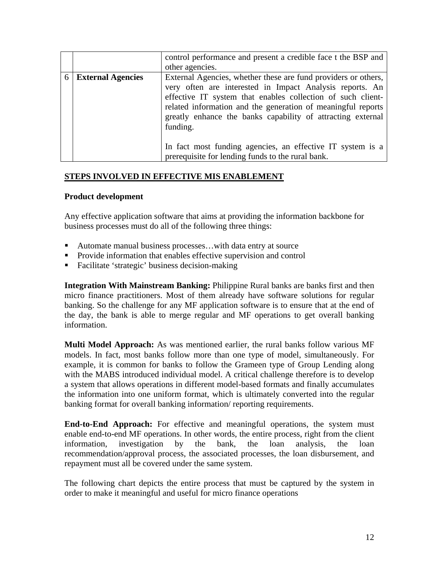|   |                          | control performance and present a credible face t the BSP and<br>other agencies.                                                                                                                                                                                                                                                                                                                                                                        |
|---|--------------------------|---------------------------------------------------------------------------------------------------------------------------------------------------------------------------------------------------------------------------------------------------------------------------------------------------------------------------------------------------------------------------------------------------------------------------------------------------------|
| 6 | <b>External Agencies</b> | External Agencies, whether these are fund providers or others,<br>very often are interested in Impact Analysis reports. An<br>effective IT system that enables collection of such client-<br>related information and the generation of meaningful reports<br>greatly enhance the banks capability of attracting external<br>funding.<br>In fact most funding agencies, an effective IT system is a<br>prerequisite for lending funds to the rural bank. |

## **STEPS INVOLVED IN EFFECTIVE MIS ENABLEMENT**

#### **Product development**

Any effective application software that aims at providing the information backbone for business processes must do all of the following three things:

- Automate manual business processes...with data entry at source
- **Provide information that enables effective supervision and control**
- Facilitate 'strategic' business decision-making

**Integration With Mainstream Banking:** Philippine Rural banks are banks first and then micro finance practitioners. Most of them already have software solutions for regular banking. So the challenge for any MF application software is to ensure that at the end of the day, the bank is able to merge regular and MF operations to get overall banking information.

**Multi Model Approach:** As was mentioned earlier, the rural banks follow various MF models. In fact, most banks follow more than one type of model, simultaneously. For example, it is common for banks to follow the Grameen type of Group Lending along with the MABS introduced individual model. A critical challenge therefore is to develop a system that allows operations in different model-based formats and finally accumulates the information into one uniform format, which is ultimately converted into the regular banking format for overall banking information/ reporting requirements.

**End-to-End Approach:** For effective and meaningful operations, the system must enable end-to-end MF operations. In other words, the entire process, right from the client information, investigation by the bank, the loan analysis, the loan recommendation/approval process, the associated processes, the loan disbursement, and repayment must all be covered under the same system.

The following chart depicts the entire process that must be captured by the system in order to make it meaningful and useful for micro finance operations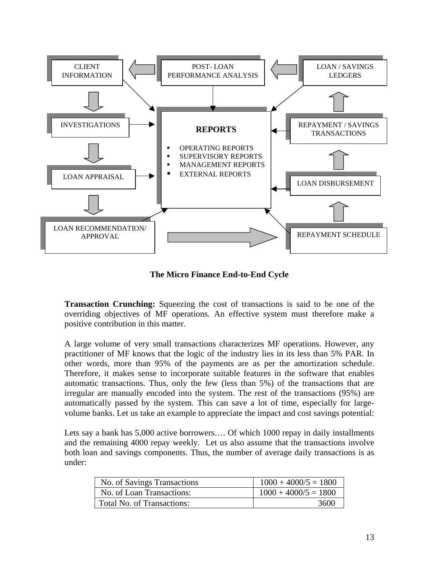

**The Micro Finance End-to-End Cycle** 

**Transaction Crunching:** Squeezing the cost of transactions is said to be one of the overriding objectives of MF operations. An effective system must therefore make a positive contribution in this matter.

A large volume of very small transactions characterizes MF operations. However, any practitioner of MF knows that the logic of the industry lies in its less than 5% PAR. In other words, more than 95% of the payments are as per the amortization schedule. Therefore, it makes sense to incorporate suitable features in the software that enables automatic transactions. Thus, only the few (less than 5%) of the transactions that are irregular are manually encoded into the system. The rest of the transactions (95%) are automatically passed by the system. This can save a lot of time, especially for largevolume banks. Let us take an example to appreciate the impact and cost savings potential:

Lets say a bank has 5,000 active borrowers…. Of which 1000 repay in daily installments and the remaining 4000 repay weekly. Let us also assume that the transactions involve both loan and savings components. Thus, the number of average daily transactions is as under:

| No. of Savings Transactions | $1000 + 4000/5 = 1800$ |
|-----------------------------|------------------------|
| No. of Loan Transactions:   | $1000 + 4000/5 = 1800$ |
| Total No. of Transactions:  | 3600                   |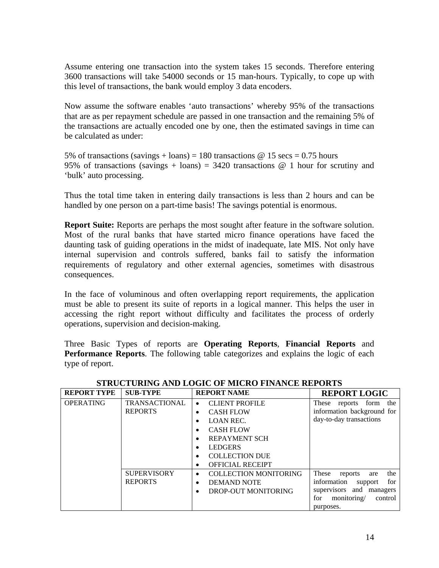Assume entering one transaction into the system takes 15 seconds. Therefore entering 3600 transactions will take 54000 seconds or 15 man-hours. Typically, to cope up with this level of transactions, the bank would employ 3 data encoders.

Now assume the software enables 'auto transactions' whereby 95% of the transactions that are as per repayment schedule are passed in one transaction and the remaining 5% of the transactions are actually encoded one by one, then the estimated savings in time can be calculated as under:

5% of transactions (savings + loans) = 180 transactions  $\omega$  15 secs = 0.75 hours 95% of transactions (savings + loans) = 3420 transactions  $\omega$  1 hour for scrutiny and 'bulk' auto processing.

Thus the total time taken in entering daily transactions is less than 2 hours and can be handled by one person on a part-time basis! The savings potential is enormous.

**Report Suite:** Reports are perhaps the most sought after feature in the software solution. Most of the rural banks that have started micro finance operations have faced the daunting task of guiding operations in the midst of inadequate, late MIS. Not only have internal supervision and controls suffered, banks fail to satisfy the information requirements of regulatory and other external agencies, sometimes with disastrous consequences.

In the face of voluminous and often overlapping report requirements, the application must be able to present its suite of reports in a logical manner. This helps the user in accessing the right report without difficulty and facilitates the process of orderly operations, supervision and decision-making.

Three Basic Types of reports are **Operating Reports**, **Financial Reports** and **Performance Reports**. The following table categorizes and explains the logic of each type of report.

| <b>REPORT TYPE</b> | <b>SUB-TYPE</b>      | <b>REPORT NAME</b>                        | <b>REPORT LOGIC</b>            |
|--------------------|----------------------|-------------------------------------------|--------------------------------|
| <b>OPERATING</b>   | <b>TRANSACTIONAL</b> | <b>CLIENT PROFILE</b><br>$\bullet$        | reports form the<br>These      |
|                    | <b>REPORTS</b>       | <b>CASH FLOW</b><br>٠                     | information background for     |
|                    |                      | <b>LOAN REC.</b>                          | day-to-day transactions        |
|                    |                      | <b>CASH FLOW</b>                          |                                |
|                    |                      | <b>REPAYMENT SCH</b>                      |                                |
|                    |                      | <b>LEDGERS</b>                            |                                |
|                    |                      | <b>COLLECTION DUE</b><br>٠                |                                |
|                    |                      | <b>OFFICIAL RECEIPT</b><br>٠              |                                |
|                    | <b>SUPERVISORY</b>   | <b>COLLECTION MONITORING</b><br>$\bullet$ | the<br>These<br>reports<br>are |
|                    | <b>REPORTS</b>       | <b>DEMAND NOTE</b><br>٠                   | information<br>for<br>support  |
|                    |                      | DROP-OUT MONITORING                       | supervisors and managers       |
|                    |                      |                                           | monitoring/<br>for<br>control  |
|                    |                      |                                           | purposes.                      |

#### **STRUCTURING AND LOGIC OF MICRO FINANCE REPORTS**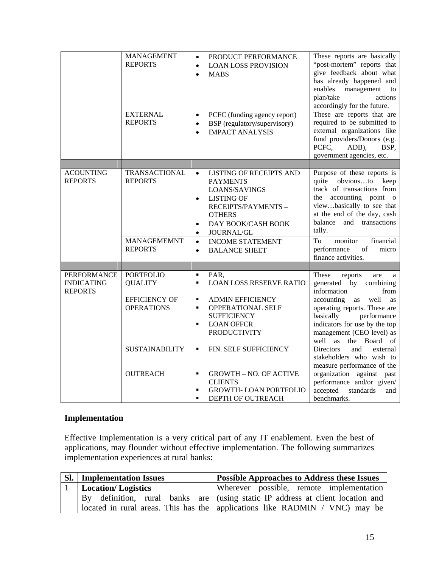|                                                           | <b>MANAGEMENT</b><br><b>REPORTS</b><br><b>EXTERNAL</b><br><b>REPORTS</b> | $\bullet$<br>$\bullet$<br>$\bullet$<br>$\bullet$<br>$\bullet$ | PRODUCT PERFORMANCE<br><b>LOAN LOSS PROVISION</b><br><b>MABS</b><br>PCFC (funding agency report)<br>BSP (regulatory/supervisory)<br><b>IMPACT ANALYSIS</b>                        | These reports are basically<br>"post-mortem" reports that<br>give feedback about what<br>has already happened and<br>management<br>enables<br>to<br>plan/take<br>actions<br>accordingly for the future.<br>These are reports that are<br>required to be submitted to<br>external organizations like<br>fund providers/Donors (e.g.<br>PCFC,<br>ADB),<br>BSP,<br>government agencies, etc. |
|-----------------------------------------------------------|--------------------------------------------------------------------------|---------------------------------------------------------------|-----------------------------------------------------------------------------------------------------------------------------------------------------------------------------------|-------------------------------------------------------------------------------------------------------------------------------------------------------------------------------------------------------------------------------------------------------------------------------------------------------------------------------------------------------------------------------------------|
|                                                           |                                                                          |                                                               |                                                                                                                                                                                   |                                                                                                                                                                                                                                                                                                                                                                                           |
| <b>ACOUNTING</b><br><b>REPORTS</b>                        | <b>TRANSACTIONAL</b><br><b>REPORTS</b><br><b>MANAGEMEMNT</b>             | $\bullet$<br>$\bullet$<br>$\bullet$<br>$\bullet$<br>$\bullet$ | LISTING OF RECEIPTS AND<br>PAYMENTS-<br>LOANS/SAVINGS<br><b>LISTING OF</b><br>RECEIPTS/PAYMENTS -<br><b>OTHERS</b><br>DAY BOOK/CASH BOOK<br>JOURNAL/GL<br><b>INCOME STATEMENT</b> | Purpose of these reports is<br>quite obviousto<br>keep<br>track of transactions from<br>the accounting point o<br>viewbasically to see that<br>at the end of the day, cash<br>balance<br>and transactions<br>tally.<br>monitor<br>financial<br>To                                                                                                                                         |
|                                                           | <b>REPORTS</b>                                                           | $\bullet$                                                     | <b>BALANCE SHEET</b>                                                                                                                                                              | performance<br>micro<br>of<br>finance activities.                                                                                                                                                                                                                                                                                                                                         |
|                                                           |                                                                          |                                                               |                                                                                                                                                                                   |                                                                                                                                                                                                                                                                                                                                                                                           |
| <b>PERFORMANCE</b><br><b>INDICATING</b><br><b>REPORTS</b> | <b>PORTFOLIO</b><br><b>QUALITY</b>                                       | $\blacksquare$<br>$\blacksquare$                              | PAR,<br><b>LOAN LOSS RESERVE RATIO</b>                                                                                                                                            | These<br>reports<br>are<br>a<br>generated by<br>combining<br>information<br>from                                                                                                                                                                                                                                                                                                          |
|                                                           | <b>EFFICIENCY OF</b><br><b>OPERATIONS</b>                                | ٠<br>$\blacksquare$<br>$\blacksquare$                         | <b>ADMIN EFFICIENCY</b><br><b>OPPERATIONAL SELF</b><br><b>SUFFICIENCY</b><br><b>LOAN OFFCR</b><br><b>PRODUCTIVITY</b>                                                             | accounting<br>well<br>as<br>as<br>operating reports. These are<br>basically<br>performance<br>indicators for use by the top<br>management (CEO level) as<br>well as<br>the Board of                                                                                                                                                                                                       |
|                                                           | <b>SUSTAINABILITY</b>                                                    | $\blacksquare$                                                | <b>FIN. SELF SUFFICIENCY</b>                                                                                                                                                      | <b>Directors</b><br>and<br>external<br>stakeholders who wish to<br>measure performance of the                                                                                                                                                                                                                                                                                             |
|                                                           | <b>OUTREACH</b>                                                          | ٠<br>$\blacksquare$                                           | <b>GROWTH - NO. OF ACTIVE</b><br><b>CLIENTS</b><br><b>GROWTH-LOAN PORTFOLIO</b><br>DEPTH OF OUTREACH                                                                              | organization against past<br>performance and/or given/<br>accepted<br>standards<br>and<br>benchmarks.                                                                                                                                                                                                                                                                                     |

## **Implementation**

Effective Implementation is a very critical part of any IT enablement. Even the best of applications, may flounder without effective implementation. The following summarizes implementation experiences at rural banks:

| $SL_1$ | <b>Implementation Issues</b> | <b>Possible Approaches to Address these Issues</b>                             |
|--------|------------------------------|--------------------------------------------------------------------------------|
|        | Location/ Logistics          | Wherever possible, remote implementation                                       |
|        |                              | By definition, rural banks are (using static IP address at client location and |
|        |                              | located in rural areas. This has the   applications like RADMIN / VNC) may be  |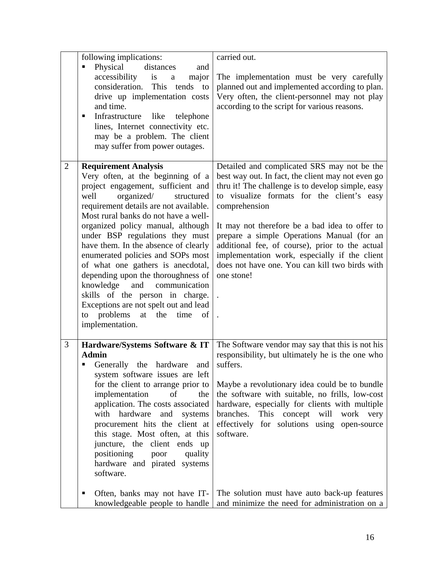|                | following implications:                                                                                                                                                                                                                                                                                                                                                                                                                                                                                                                                                                                                                    | carried out.                                                                                                                                                                                                                                                                                                                                                                                                                                                                             |
|----------------|--------------------------------------------------------------------------------------------------------------------------------------------------------------------------------------------------------------------------------------------------------------------------------------------------------------------------------------------------------------------------------------------------------------------------------------------------------------------------------------------------------------------------------------------------------------------------------------------------------------------------------------------|------------------------------------------------------------------------------------------------------------------------------------------------------------------------------------------------------------------------------------------------------------------------------------------------------------------------------------------------------------------------------------------------------------------------------------------------------------------------------------------|
|                | Physical<br>distances<br>п<br>and<br>accessibility<br>is<br>major<br>$\mathbf{a}$<br>consideration.<br>This tends to<br>drive up implementation costs<br>and time.<br>Infrastructure<br>like<br>telephone<br>п<br>lines, Internet connectivity etc.<br>may be a problem. The client<br>may suffer from power outages.                                                                                                                                                                                                                                                                                                                      | The implementation must be very carefully<br>planned out and implemented according to plan.<br>Very often, the client-personnel may not play<br>according to the script for various reasons.                                                                                                                                                                                                                                                                                             |
| $\overline{2}$ | <b>Requirement Analysis</b><br>Very often, at the beginning of a<br>project engagement, sufficient and<br>organized/<br>well<br>structured<br>requirement details are not available.<br>Most rural banks do not have a well-<br>organized policy manual, although<br>under BSP regulations they must<br>have them. In the absence of clearly<br>enumerated policies and SOPs most<br>of what one gathers is anecdotal,<br>depending upon the thoroughness of<br>knowledge<br>communication<br>and<br>skills of the person in charge.<br>Exceptions are not spelt out and lead<br>problems<br>at the<br>time<br>to<br>of<br>implementation. | Detailed and complicated SRS may not be the<br>best way out. In fact, the client may not even go<br>thru it! The challenge is to develop simple, easy<br>to visualize formats for the client's easy<br>comprehension<br>It may not therefore be a bad idea to offer to<br>prepare a simple Operations Manual (for an<br>additional fee, of course), prior to the actual<br>implementation work, especially if the client<br>does not have one. You can kill two birds with<br>one stone! |
| 3              | Hardware/Systems Software & IT<br><b>Admin</b><br>Generally the hardware<br>and<br>system software issues are left<br>for the client to arrange prior to<br>implementation<br>of<br>the<br>application. The costs associated<br>with hardware<br>and<br>systems<br>procurement hits the client at<br>this stage. Most often, at this<br>juncture, the client ends<br>$\mathbf{u}$<br>positioning<br>quality<br>poor<br>hardware and pirated systems<br>software.                                                                                                                                                                           | The Software vendor may say that this is not his<br>responsibility, but ultimately he is the one who<br>suffers.<br>Maybe a revolutionary idea could be to bundle<br>the software with suitable, no frills, low-cost<br>hardware, especially for clients with multiple<br>branches.<br>This concept will<br>work<br>very<br>effectively for solutions using open-source<br>software.                                                                                                     |
|                | Often, banks may not have IT-<br>п<br>knowledgeable people to handle                                                                                                                                                                                                                                                                                                                                                                                                                                                                                                                                                                       | The solution must have auto back-up features<br>and minimize the need for administration on a                                                                                                                                                                                                                                                                                                                                                                                            |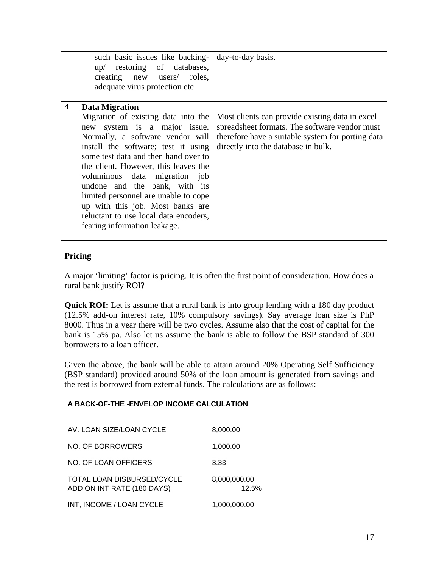|                | such basic issues like backing-<br>up/ restoring of databases,<br>creating new users/ roles,<br>adequate virus protection etc.                                                                                                                                                                                                                                                                        | day-to-day basis.                                                                                                                                                                            |
|----------------|-------------------------------------------------------------------------------------------------------------------------------------------------------------------------------------------------------------------------------------------------------------------------------------------------------------------------------------------------------------------------------------------------------|----------------------------------------------------------------------------------------------------------------------------------------------------------------------------------------------|
| $\overline{4}$ | <b>Data Migration</b><br>Migration of existing data into the<br>new system is a major issue.<br>Normally, a software vendor will<br>install the software; test it using<br>some test data and then hand over to<br>the client. However, this leaves the<br>voluminous data migration job<br>undone and the bank, with its<br>limited personnel are unable to cope<br>up with this job. Most banks are | Most clients can provide existing data in excel<br>spreadsheet formats. The software vendor must<br>therefore have a suitable system for porting data<br>directly into the database in bulk. |
|                | reluctant to use local data encoders,<br>fearing information leakage.                                                                                                                                                                                                                                                                                                                                 |                                                                                                                                                                                              |

## **Pricing**

A major 'limiting' factor is pricing. It is often the first point of consideration. How does a rural bank justify ROI?

**Quick ROI:** Let is assume that a rural bank is into group lending with a 180 day product (12.5% add-on interest rate, 10% compulsory savings). Say average loan size is PhP 8000. Thus in a year there will be two cycles. Assume also that the cost of capital for the bank is 15% pa. Also let us assume the bank is able to follow the BSP standard of 300 borrowers to a loan officer.

Given the above, the bank will be able to attain around 20% Operating Self Sufficiency (BSP standard) provided around 50% of the loan amount is generated from savings and the rest is borrowed from external funds. The calculations are as follows:

#### **A BACK-OF-THE -ENVELOP INCOME CALCULATION**

| AV. LOAN SIZE/LOAN CYCLE                                        | 8,000.00              |
|-----------------------------------------------------------------|-----------------------|
| NO. OF BORROWERS                                                | 1,000.00              |
| NO. OF LOAN OFFICERS                                            | 3.33                  |
| <b>TOTAL LOAN DISBURSED/CYCLE</b><br>ADD ON INT RATE (180 DAYS) | 8,000,000.00<br>12.5% |
| INT, INCOME / LOAN CYCLE                                        | 1,000,000.00          |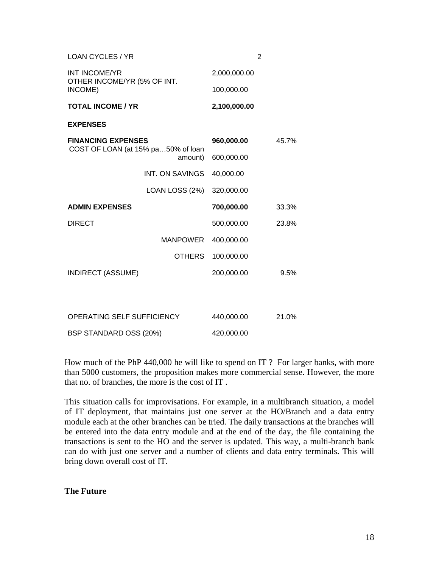| LOAN CYCLES / YR                                                |               |              | 2     |
|-----------------------------------------------------------------|---------------|--------------|-------|
| <b>INT INCOME/YR</b><br>OTHER INCOME/YR (5% OF INT.<br>INCOME)  |               | 2,000,000.00 |       |
|                                                                 |               | 100,000.00   |       |
| <b>TOTAL INCOME / YR</b>                                        |               | 2,100,000.00 |       |
| <b>EXPENSES</b>                                                 |               |              |       |
| <b>FINANCING EXPENSES</b><br>COST OF LOAN (at 15% pa50% of loan |               | 960,000.00   | 45.7% |
|                                                                 | amount)       | 600,000.00   |       |
| INT. ON SAVINGS                                                 |               | 40,000.00    |       |
| LOAN LOSS (2%)                                                  |               | 320,000.00   |       |
| <b>ADMIN EXPENSES</b>                                           |               | 700,000.00   | 33.3% |
| <b>DIRECT</b>                                                   |               | 500,000.00   | 23.8% |
|                                                                 | MANPOWER      | 400,000.00   |       |
|                                                                 | <b>OTHERS</b> | 100,000.00   |       |
| <b>INDIRECT (ASSUME)</b>                                        |               | 200,000.00   | 9.5%  |
|                                                                 |               |              |       |
|                                                                 |               |              |       |
| OPERATING SELF SUFFICIENCY                                      | 440,000.00    | 21.0%        |       |
| BSP STANDARD OSS (20%)                                          | 420,000.00    |              |       |

How much of the PhP 440,000 he will like to spend on IT ? For larger banks, with more than 5000 customers, the proposition makes more commercial sense. However, the more that no. of branches, the more is the cost of IT .

This situation calls for improvisations. For example, in a multibranch situation, a model of IT deployment, that maintains just one server at the HO/Branch and a data entry module each at the other branches can be tried. The daily transactions at the branches will be entered into the data entry module and at the end of the day, the file containing the transactions is sent to the HO and the server is updated. This way, a multi-branch bank can do with just one server and a number of clients and data entry terminals. This will bring down overall cost of IT.

#### **The Future**